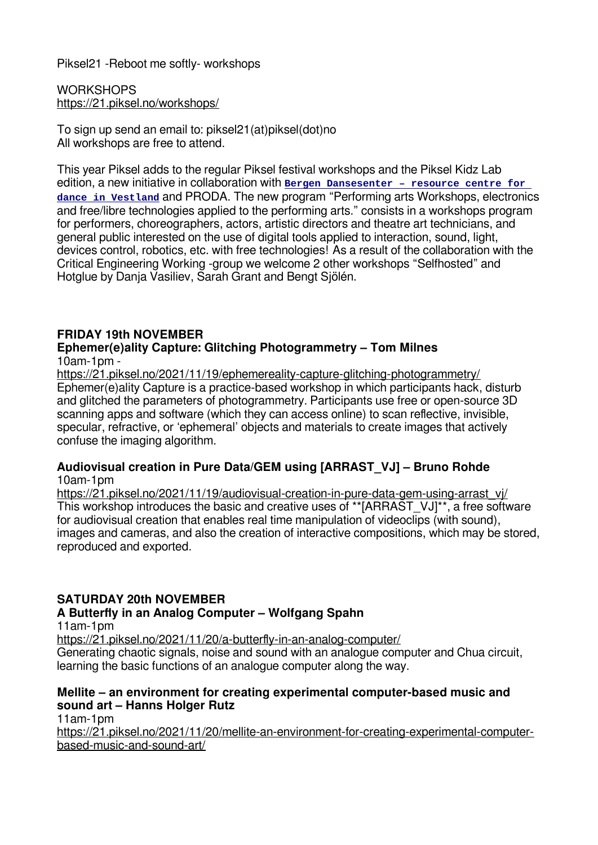Piksel21 -Reboot me softly- workshops

**WORKSHOPS** <https://21.piksel.no/workshops/>

To sign up send an email to: piksel21(at)piksel(dot)no All workshops are free to attend.

This year Piksel adds to the regular Piksel festival workshops and the Piksel Kidz Lab edition, a new initiative in collaboration with **[Bergen Dansesenter – resource centre for](https://bergen-dansesenter.no/)  [dance in Vestland](https://bergen-dansesenter.no/)** and PRODA. The new program "Performing arts Workshops, electronics and free/libre technologies applied to the performing arts." consists in a workshops program for performers, choreographers, actors, artistic directors and theatre art technicians, and general public interested on the use of digital tools applied to interaction, sound, light, devices control, robotics, etc. with free technologies! As a result of the collaboration with the Critical Engineering Working -group we welcome 2 other workshops "Selfhosted" and Hotglue by Danja Vasiliev, Sarah Grant and Bengt Sjölén.

# **FRIDAY 19th NOVEMBER**

#### **Ephemer(e)ality Capture: Glitching Photogrammetry – Tom Milnes** 10am-1pm -

<https://21.piksel.no/2021/11/19/ephemereality-capture-glitching-photogrammetry/> Ephemer(e)ality Capture is a practice-based workshop in which participants hack, disturb and glitched the parameters of photogrammetry. Participants use free or open-source 3D scanning apps and software (which they can access online) to scan reflective, invisible, specular, refractive, or 'ephemeral' objects and materials to create images that actively confuse the imaging algorithm.

#### **Audiovisual creation in Pure Data/GEM using [ARRAST\_VJ] – Bruno Rohde** 10am-1pm

[https://21.piksel.no/2021/11/19/audiovisual-creation-in-pure-data-gem-using-arrast\\_vj/](https://21.piksel.no/2021/11/19/audiovisual-creation-in-pure-data-gem-using-arrast_vj/) This workshop introduces the basic and creative uses of \*\*[ARRAST\_VJ]\*\*, a free software for audiovisual creation that enables real time manipulation of videoclips (with sound), images and cameras, and also the creation of interactive compositions, which may be stored, reproduced and exported.

# **SATURDAY 20th NOVEMBER**

# **A Butterfly in an Analog Computer – Wolfgang Spahn**

11am-1pm <https://21.piksel.no/2021/11/20/a-butterfly-in-an-analog-computer/> Generating chaotic signals, noise and sound with an analogue computer and Chua circuit, learning the basic functions of an analogue computer along the way.

### **Mellite – an environment for creating experimental computer-based music and sound art – Hanns Holger Rutz**

11am-1pm

[https://21.piksel.no/2021/11/20/mellite-an-environment-for-creating-experimental-computer](https://21.piksel.no/2021/11/20/mellite-an-environment-for-creating-experimental-computer-based-music-and-sound-art/)[based-music-and-sound-art/](https://21.piksel.no/2021/11/20/mellite-an-environment-for-creating-experimental-computer-based-music-and-sound-art/)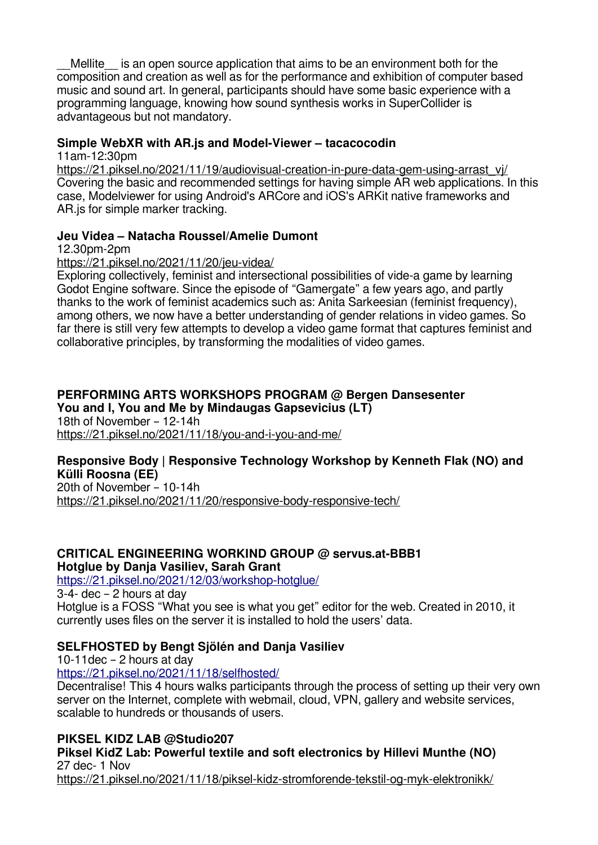Mellite is an open source application that aims to be an environment both for the composition and creation as well as for the performance and exhibition of computer based music and sound art. In general, participants should have some basic experience with a programming language, knowing how sound synthesis works in SuperCollider is advantageous but not mandatory.

### **Simple WebXR with AR.js and Model-Viewer – tacacocodin**

11am-12:30pm

[https://21.piksel.no/2021/11/19/audiovisual-creation-in-pure-data-gem-using-arrast\\_vj/](https://21.piksel.no/2021/11/19/audiovisual-creation-in-pure-data-gem-using-arrast_vj/) Covering the basic and recommended settings for having simple AR web applications. In this case, Modelviewer for using Android's ARCore and iOS's ARKit native frameworks and AR.js for simple marker tracking.

### **Jeu Videa – Natacha Roussel/Amelie Dumont**

12.30pm-2pm

<https://21.piksel.no/2021/11/20/jeu-videa/>

Exploring collectively, feminist and intersectional possibilities of vide-a game by learning Godot Engine software. Since the episode of "Gamergate" a few years ago, and partly thanks to the work of feminist academics such as: Anita Sarkeesian (feminist frequency), among others, we now have a better understanding of gender relations in video games. So far there is still very few attempts to develop a video game format that captures feminist and collaborative principles, by transforming the modalities of video games.

### **PERFORMING ARTS WORKSHOPS PROGRAM @ Bergen Dansesenter You and I, You and Me by Mindaugas Gapsevicius (LT)**

18th of November – 12-14h <https://21.piksel.no/2021/11/18/you-and-i-you-and-me/>

# **Responsive Body | Responsive Technology Workshop by Kenneth Flak (NO) and Külli Roosna (EE)**

20th of November – 10-14h <https://21.piksel.no/2021/11/20/responsive-body-responsive-tech/>

### **CRITICAL ENGINEERING WORKIND GROUP @ servus.at-BBB1 Hotglue by Danja Vasiliev, Sarah Grant**

<https://21.piksel.no/2021/12/03/workshop-hotglue/>

3-4- dec – 2 hours at day

Hotglue is a FOSS "What you see is what you get" editor for the web. Created in 2010, it currently uses files on the server it is installed to hold the users' data.

# **SELFHOSTED by Bengt Sjölén and Danja Vasiliev**

10-11dec – 2 hours at day

<https://21.piksel.no/2021/11/18/selfhosted/>

Decentralise! This 4 hours walks participants through the process of setting up their very own server on the Internet, complete with webmail, cloud, VPN, gallery and website services, scalable to hundreds or thousands of users.

### **PIKSEL KIDZ LAB @Studio207**

**Piksel KidZ Lab: Powerful textile and soft electronics by Hillevi Munthe (NO)** 27 dec- 1 Nov

<https://21.piksel.no/2021/11/18/piksel-kidz-stromforende-tekstil-og-myk-elektronikk/>